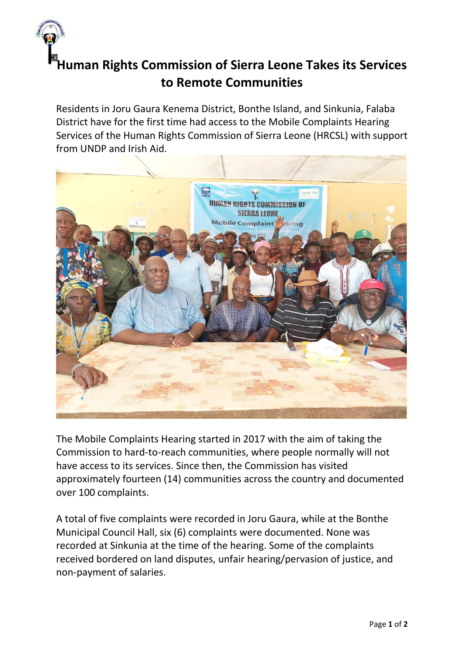

Residents in Joru Gaura Kenema District, Bonthe Island, and Sinkunia, Falaba District have for the first time had access to the Mobile Complaints Hearing Services of the Human Rights Commission of Sierra Leone (HRCSL) with support from UNDP and Irish Aid.



The Mobile Complaints Hearing started in 2017 with the aim of taking the Commission to hard-to-reach communities, where people normally will not have access to its services. Since then, the Commission has visited approximately fourteen (14) communities across the country and documented over 100 complaints.

A total of five complaints were recorded in Joru Gaura, while at the Bonthe Municipal Council Hall, six (6) complaints were documented. None was recorded at Sinkunia at the time of the hearing. Some of the complaints received bordered on land disputes, unfair hearing/pervasion of justice, and non-payment of salaries.